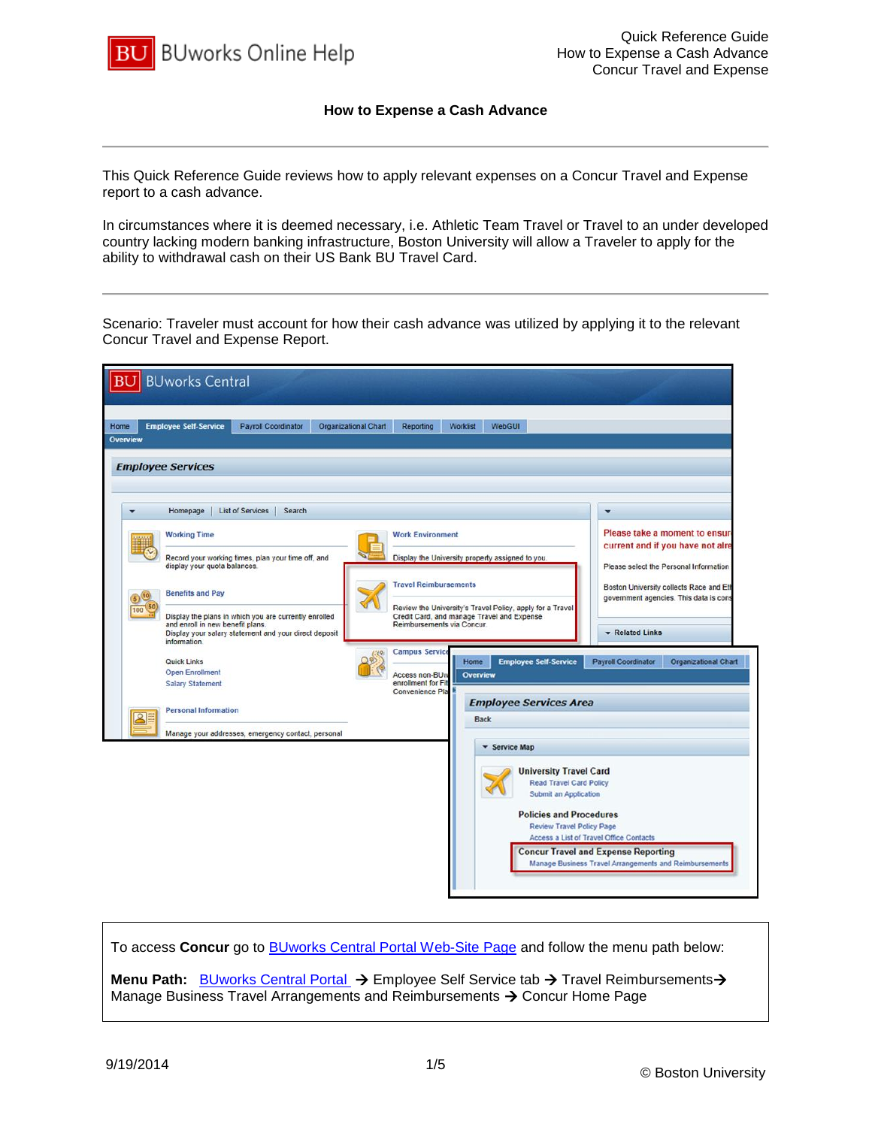

## **How to Expense a Cash Advance**

This Quick Reference Guide reviews how to apply relevant expenses on a Concur Travel and Expense report to a cash advance.

In circumstances where it is deemed necessary, i.e. Athletic Team Travel or Travel to an under developed country lacking modern banking infrastructure, Boston University will allow a Traveler to apply for the ability to withdrawal cash on their US Bank BU Travel Card.

Scenario: Traveler must account for how their cash advance was utilized by applying it to the relevant Concur Travel and Expense Report.

|                                        | <b>BU</b> BUworks Central                                                                                                                                                                                                                                                     |                                                                                                                                                                                                                                                                 |                             |                                                                                                                                                                                                                                                                                        |                  |                            |                                                                                                                                                                                                                        |                                 |                                                                                                                                                                                                                                            |
|----------------------------------------|-------------------------------------------------------------------------------------------------------------------------------------------------------------------------------------------------------------------------------------------------------------------------------|-----------------------------------------------------------------------------------------------------------------------------------------------------------------------------------------------------------------------------------------------------------------|-----------------------------|----------------------------------------------------------------------------------------------------------------------------------------------------------------------------------------------------------------------------------------------------------------------------------------|------------------|----------------------------|------------------------------------------------------------------------------------------------------------------------------------------------------------------------------------------------------------------------|---------------------------------|--------------------------------------------------------------------------------------------------------------------------------------------------------------------------------------------------------------------------------------------|
| Home                                   | <b>Employee Self-Service</b>                                                                                                                                                                                                                                                  | <b>Payroll Coordinator</b>                                                                                                                                                                                                                                      | <b>Organizational Chart</b> | <b>Reporting</b>                                                                                                                                                                                                                                                                       | <b>Worklist</b>  | WebGUI                     |                                                                                                                                                                                                                        |                                 |                                                                                                                                                                                                                                            |
| <b>Overview</b><br>100<br>$\mathbf{S}$ | <b>Employee Services</b><br>Homepage<br><b>Working Time</b><br>display your quota balances.<br><b>Benefits and Pay</b><br>and enroll in new benefit plans.<br>information.<br>Quick Links<br><b>Open Enrollment</b><br><b>Salary Statement</b><br><b>Personal Information</b> | <b>List of Services</b><br>Search<br>Record your working times, plan your time off, and<br>Display the plans in which you are currently enrolled<br>Display your salary statement and your direct deposit<br>Manage your addresses, emergency contact, personal |                             | <b>Work Environment</b><br>Display the University property assigned to you<br><b>Travel Reimbursements</b><br>Credit Card, and manage Travel and Expense<br>Reimbursements via Concur.<br><b>Campus Service</b><br>Access non-BU <sub>W</sub><br>enrollment for Fit<br>Convenience Pla | Home<br>Overview | <b>Back</b><br>Service Map | Review the University's Travel Policy, apply for a Travel<br><b>Employee Self-Service</b><br><b>Employee Services Area</b><br><b>University Travel Card</b><br><b>Read Travel Card Policy</b><br>Submit an Application | ۰<br><b>Payroll Coordinator</b> | Please take a moment to ensure<br>current and if you have not alre<br>Please select the Personal Information<br>Boston University collects Race and Ett<br>government agencies. This data is cons<br>Related Links<br>Organizational Chart |
|                                        |                                                                                                                                                                                                                                                                               |                                                                                                                                                                                                                                                                 |                             |                                                                                                                                                                                                                                                                                        |                  |                            | <b>Policies and Procedures</b><br>Review Travel Policy Page<br>Access a List of Travel Office Contacts<br><b>Concur Travel and Expense Reporting</b>                                                                   |                                 | Manage Business Travel Arrangements and Reimbursements                                                                                                                                                                                     |

To access **Concur** go to [BUworks Central Portal Web-Site Page](https://ppo.buw.bu.edu/) and follow the menu path below: **Menu Path:** [BUworks Central Portal](https://ppo.buw.bu.edu/) → Employee Self Service tab → Travel Reimbursements→ Manage Business Travel Arrangements and Reimbursements  $\rightarrow$  Concur Home Page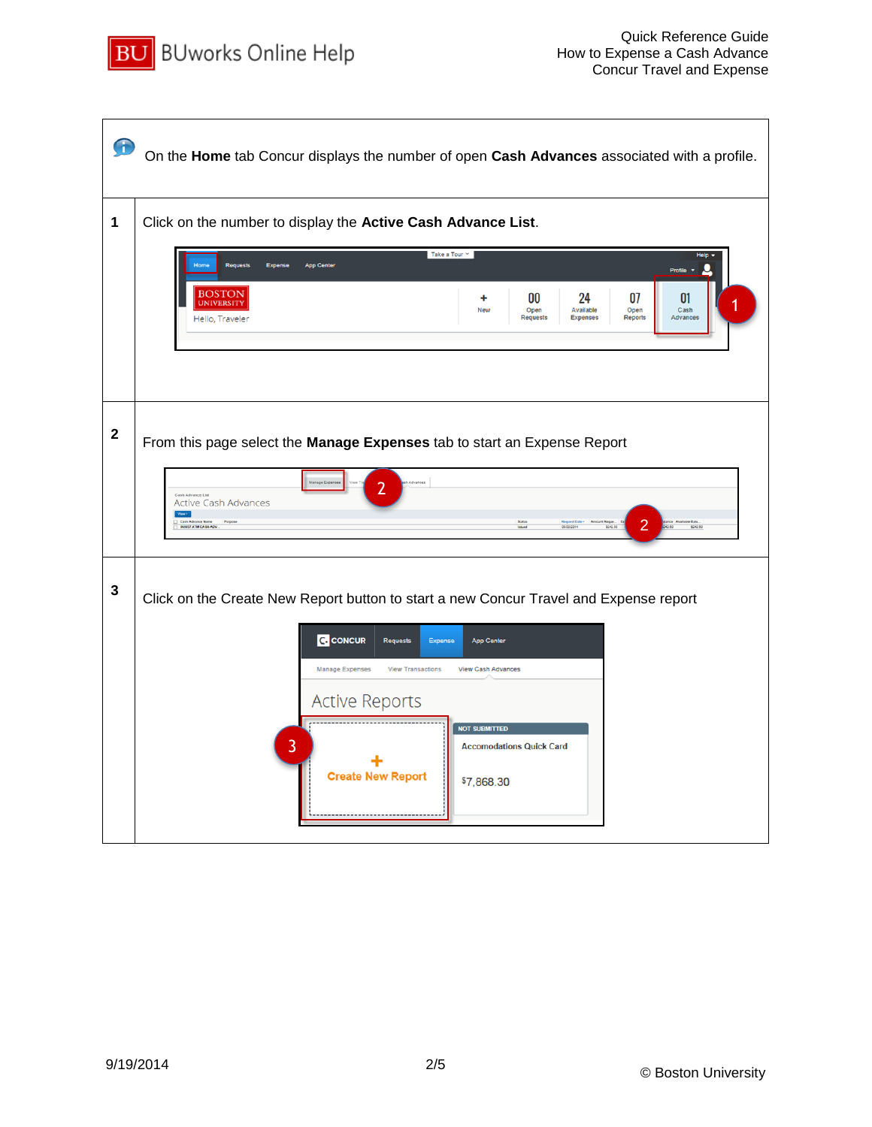

| f            | On the Home tab Concur displays the number of open Cash Advances associated with a profile.                                                                                                              |
|--------------|----------------------------------------------------------------------------------------------------------------------------------------------------------------------------------------------------------|
| 1            | Click on the number to display the Active Cash Advance List.                                                                                                                                             |
|              | Take a Tour $\sim$<br><b>Requests</b><br><b>App Center</b><br>Expense<br>Profile                                                                                                                         |
|              | BOSTON<br>00<br>24<br>07<br>01<br>+<br><b>UNIVERSITY</b><br>Open<br>Available<br>Open<br>Cash<br>New<br>Advances<br><b>Requests</b><br>Expenses<br><b>Reports</b><br>Hello, Traveler                     |
|              |                                                                                                                                                                                                          |
| $\mathbf{2}$ | From this page select the Manage Expenses tab to start an Expense Report                                                                                                                                 |
|              | 2<br>Cash Advance List<br><b>Active Cash Advances</b><br>Ven -<br>Cash Advance Name<br>3 065837 ATM CASH ADV<br>Purpose<br>2<br>le Bala<br>\$242.50<br>\$242.50<br><b>Issued</b><br>05/02/2014<br>342.50 |
| 3            | Click on the Create New Report button to start a new Concur Travel and Expense report                                                                                                                    |
|              | <b>C.</b> CONCUR<br><b>Requests</b><br><b>Expense</b><br><b>App Center</b>                                                                                                                               |
|              | Manage Expenses<br><b>View Transactions</b><br><b>View Cash Advances</b><br><b>Active Reports</b>                                                                                                        |
|              | <b>NOT SUBMITTED</b><br>$\overline{3}$<br><b>Accomodations Quick Card</b><br><b>Create New Report</b><br>\$7,868.30                                                                                      |
|              |                                                                                                                                                                                                          |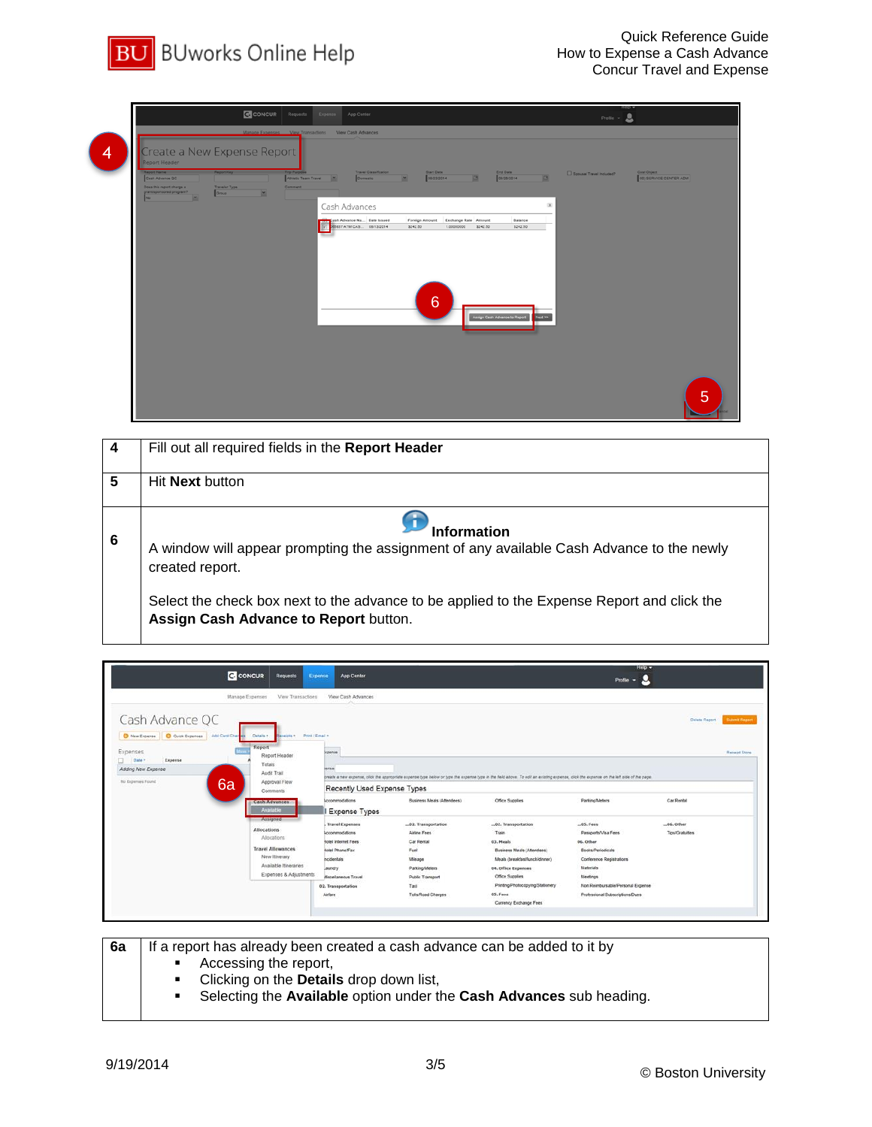

|   |                                                                                         |                                      |                | CONCUR Requests Expense App Center                                                                                      |                                                                           |                                          | Profile $\sim$ $\blacksquare$ |                                       |
|---|-----------------------------------------------------------------------------------------|--------------------------------------|----------------|-------------------------------------------------------------------------------------------------------------------------|---------------------------------------------------------------------------|------------------------------------------|-------------------------------|---------------------------------------|
|   |                                                                                         |                                      |                | Manage Expenses View Transactions View Cash Advances                                                                    |                                                                           |                                          |                               |                                       |
| 4 | Create a New Expense Report<br>Report Header                                            |                                      |                |                                                                                                                         |                                                                           |                                          |                               |                                       |
|   | Report Name<br>Cash Advance OC<br>Does this report charge a<br>grant/sponsored program? | Report Key<br>Traveler Type<br>Group | $\overline{a}$ | Travel Classification<br><b>Trip Purpose</b><br>Athletic Team Travel<br><b>Opmestic</b><br><b>CONTRACTOR</b><br>Comment | Start Date<br>$\Box$<br>$\overline{z}$<br>08/23/2014                      | End Date<br> <br>  08/26/2014<br>$\Box$  | Spousal Travel Included?      | Cost Object<br>00) SERVICE CENTER ADM |
|   | No                                                                                      |                                      |                | Cash Advances                                                                                                           |                                                                           | $\boldsymbol{\times}$                    |                               |                                       |
|   |                                                                                         |                                      |                | <b>And Tash Advance Na</b> Date Issued<br>85837 ATM CAS 08/13/2014                                                      | Foreign Amount Exchange Rate Amount<br>\$242.50<br>1.00000000<br>\$242.50 | Balance<br>\$242.50                      |                               |                                       |
|   |                                                                                         |                                      |                |                                                                                                                         |                                                                           |                                          |                               |                                       |
|   |                                                                                         |                                      |                |                                                                                                                         |                                                                           |                                          |                               |                                       |
|   |                                                                                         |                                      |                |                                                                                                                         |                                                                           |                                          |                               |                                       |
|   |                                                                                         |                                      |                |                                                                                                                         |                                                                           |                                          |                               |                                       |
|   |                                                                                         |                                      |                |                                                                                                                         | $6\phantom{1}6$                                                           |                                          |                               |                                       |
|   |                                                                                         |                                      |                |                                                                                                                         |                                                                           | Assign Cash Advance to Report<br>Next >> |                               |                                       |
|   |                                                                                         |                                      |                |                                                                                                                         |                                                                           |                                          |                               |                                       |
|   |                                                                                         |                                      |                |                                                                                                                         |                                                                           |                                          |                               |                                       |
|   |                                                                                         |                                      |                |                                                                                                                         |                                                                           |                                          |                               |                                       |
|   |                                                                                         |                                      |                |                                                                                                                         |                                                                           |                                          |                               | 5                                     |
|   |                                                                                         |                                      |                |                                                                                                                         |                                                                           |                                          |                               |                                       |

| 4 | Fill out all required fields in the Report Header                                                                                   |
|---|-------------------------------------------------------------------------------------------------------------------------------------|
| 5 | Hit <b>Next</b> button                                                                                                              |
| 6 | <b>Information</b><br>A window will appear prompting the assignment of any available Cash Advance to the newly<br>created report.   |
|   | Select the check box next to the advance to be applied to the Expense Report and click the<br>Assign Cash Advance to Report button. |

| <b>C</b> CONCUR                                                                                                                                                                                                               | Requests<br>Expense<br><b>App Center</b>                                                                                                                                                  |                                                                                                  |                                                                                                                                                                                          | $He$ $p -$<br>Profile $ 2$                                                                                                       |                                         |                      |
|-------------------------------------------------------------------------------------------------------------------------------------------------------------------------------------------------------------------------------|-------------------------------------------------------------------------------------------------------------------------------------------------------------------------------------------|--------------------------------------------------------------------------------------------------|------------------------------------------------------------------------------------------------------------------------------------------------------------------------------------------|----------------------------------------------------------------------------------------------------------------------------------|-----------------------------------------|----------------------|
| Manage Expenses<br>Cash Advance QC                                                                                                                                                                                            | View Transactions<br>View Cash Advances                                                                                                                                                   |                                                                                                  |                                                                                                                                                                                          |                                                                                                                                  | Delete Report                           | <b>Submit Report</b> |
| New Expense   C Quick Expenses   AM Card Char<br>Details *<br>Report<br>Expenses<br>Report Header<br>Expense<br>Date -<br>Totals<br>Adding New Expense<br>Audit Trail<br>6a<br>No Expenses Found<br>Approval Flow<br>Comments | Print / Email +<br>Receipts +<br>ligense<br><b>Series</b><br>Recently Used Expense Types                                                                                                  |                                                                                                  | preate a new expense, click the appropriate expense type below or type the expense type in the field above. To edit an existing expense, click the expense on the left side of the page. |                                                                                                                                  |                                         | Receipt Store        |
| <b>Cash Advances</b><br>Available                                                                                                                                                                                             | Accommodations<br>Expense Types                                                                                                                                                           | <b>Business Meals (Atlendees)</b>                                                                | Office Supplies                                                                                                                                                                          | Parking/Meters                                                                                                                   | Car Rental                              |                      |
| Assigned<br>Allocations<br>Allocations<br><b>Travel Allowances</b><br>New Itinerary<br>Available Itineraries                                                                                                                  | Travel Expenses<br>Accommodations<br><b>Rotel Internet Fees</b><br><b>Rotel Phone/Fax</b><br><i><b><u>ncidentals</u></b></i><br>Jaundry<br>Expenses & Adjustments<br>Miscellaneous Travel | <b>Airline Fees</b><br>Car Rental<br>Fuel<br>Mieage<br>Parking/Meters<br><b>Public Transport</b> | 02. Transportation<br>Train<br>03. Meals<br><b>Business Meals (Attendees)</b><br>Meals (breakfast/lunch/dinner)<br>04. Office Expenses<br>Office Supplies                                | $.05.$ Fees<br>Passports/Visa Fees<br>06. Other<br><b>Books/Periodicals</b><br>Conference Registrations<br>Materials<br>Meetings | $-06$ , Other<br><b>Tips/Gratuities</b> |                      |
|                                                                                                                                                                                                                               | 02. Transportation<br>Airfare                                                                                                                                                             | Taxi<br>Tolls/Road Charges                                                                       | Printing/Photocopying/Stationery<br>05. Fees<br>Currency Exchange Fees                                                                                                                   | Non Reimbursable/Personal Expense<br>Professional Subscriptions/Dues                                                             |                                         |                      |

**6a** | If a report has already been created a cash advance can be added to it by

- Accessing the report,<br>• Clicking on the **Detail**
- Clicking on the **Details** drop down list,
- Selecting the **Available** option under the **Cash Advances** sub heading.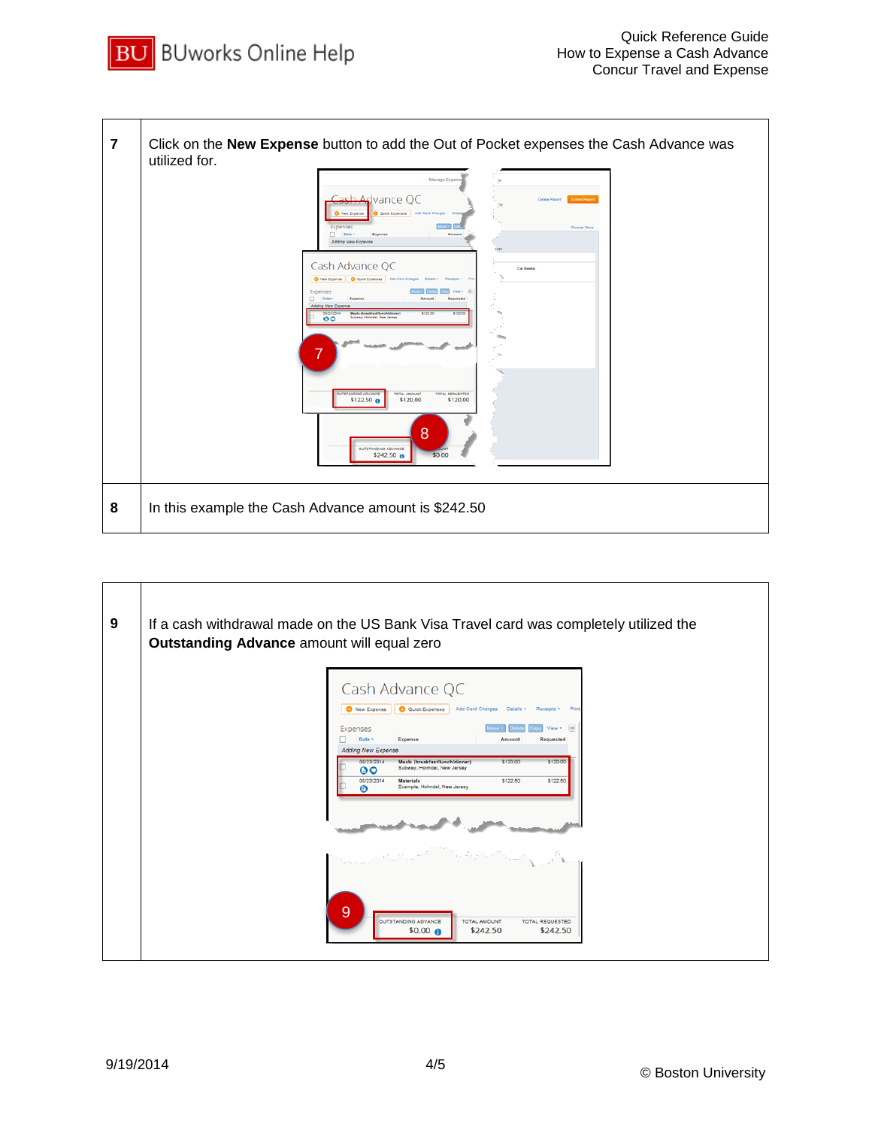



| 9 | If a cash withdrawal made on the US Bank Visa Travel card was completely utilized the<br>Outstanding Advance amount will equal zero                                                                      |
|---|----------------------------------------------------------------------------------------------------------------------------------------------------------------------------------------------------------|
|   | Cash Advance QC                                                                                                                                                                                          |
|   | Quick Expenses Add Card Charges<br>New Expense<br>Details *<br>Receipts *<br>Print                                                                                                                       |
|   | $V$ iew $\cdot$ $46$<br>Expenses<br>Date -<br>Expense<br>Requested<br>Amount<br><b>Adding New Expense</b>                                                                                                |
|   | 08/23/2014<br>\$120.00<br>\$120.00<br>Meals (breakfast/lunch/dinner)<br>Subway, Holmdel, New Jersey<br>00<br>08/23/2014<br>\$122.50<br>\$122.50<br><b>Materials</b><br>Example, Holmdel, New Jersey<br>⋒ |
|   |                                                                                                                                                                                                          |
|   |                                                                                                                                                                                                          |
|   | 9<br>OUTSTANDING ADVANCE<br><b>TOTAL AMOUNT</b><br><b>TOTAL REQUESTED</b><br>\$242.50<br>$$0.00$ $6$<br>\$242.50                                                                                         |